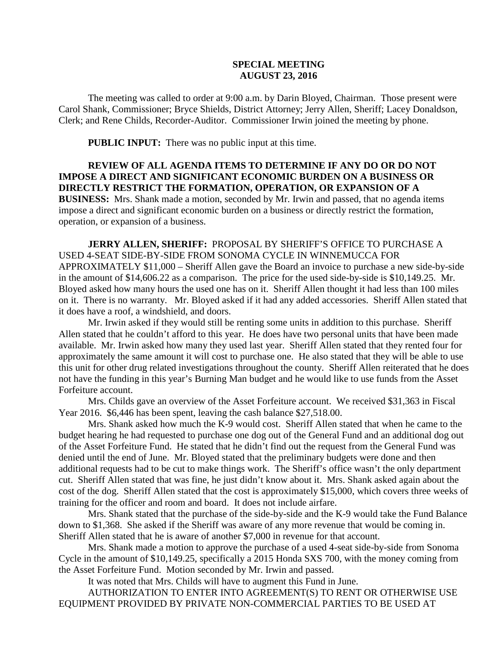## **SPECIAL MEETING AUGUST 23, 2016**

The meeting was called to order at 9:00 a.m. by Darin Bloyed, Chairman. Those present were Carol Shank, Commissioner; Bryce Shields, District Attorney; Jerry Allen, Sheriff; Lacey Donaldson, Clerk; and Rene Childs, Recorder-Auditor. Commissioner Irwin joined the meeting by phone.

**PUBLIC INPUT:** There was no public input at this time.

## **REVIEW OF ALL AGENDA ITEMS TO DETERMINE IF ANY DO OR DO NOT IMPOSE A DIRECT AND SIGNIFICANT ECONOMIC BURDEN ON A BUSINESS OR DIRECTLY RESTRICT THE FORMATION, OPERATION, OR EXPANSION OF A BUSINESS:** Mrs. Shank made a motion, seconded by Mr. Irwin and passed, that no agenda items impose a direct and significant economic burden on a business or directly restrict the formation, operation, or expansion of a business.

**JERRY ALLEN, SHERIFF:** PROPOSAL BY SHERIFF'S OFFICE TO PURCHASE A USED 4-SEAT SIDE-BY-SIDE FROM SONOMA CYCLE IN WINNEMUCCA FOR APPROXIMATELY \$11,000 – Sheriff Allen gave the Board an invoice to purchase a new side-by-side in the amount of \$14,606.22 as a comparison. The price for the used side-by-side is \$10,149.25. Mr. Bloyed asked how many hours the used one has on it. Sheriff Allen thought it had less than 100 miles on it. There is no warranty. Mr. Bloyed asked if it had any added accessories. Sheriff Allen stated that it does have a roof, a windshield, and doors.

Mr. Irwin asked if they would still be renting some units in addition to this purchase. Sheriff Allen stated that he couldn't afford to this year. He does have two personal units that have been made available. Mr. Irwin asked how many they used last year. Sheriff Allen stated that they rented four for approximately the same amount it will cost to purchase one. He also stated that they will be able to use this unit for other drug related investigations throughout the county. Sheriff Allen reiterated that he does not have the funding in this year's Burning Man budget and he would like to use funds from the Asset Forfeiture account.

Mrs. Childs gave an overview of the Asset Forfeiture account. We received \$31,363 in Fiscal Year 2016. \$6,446 has been spent, leaving the cash balance \$27,518.00.

Mrs. Shank asked how much the K-9 would cost. Sheriff Allen stated that when he came to the budget hearing he had requested to purchase one dog out of the General Fund and an additional dog out of the Asset Forfeiture Fund. He stated that he didn't find out the request from the General Fund was denied until the end of June. Mr. Bloyed stated that the preliminary budgets were done and then additional requests had to be cut to make things work. The Sheriff's office wasn't the only department cut. Sheriff Allen stated that was fine, he just didn't know about it. Mrs. Shank asked again about the cost of the dog. Sheriff Allen stated that the cost is approximately \$15,000, which covers three weeks of training for the officer and room and board. It does not include airfare.

Mrs. Shank stated that the purchase of the side-by-side and the K-9 would take the Fund Balance down to \$1,368. She asked if the Sheriff was aware of any more revenue that would be coming in. Sheriff Allen stated that he is aware of another \$7,000 in revenue for that account.

Mrs. Shank made a motion to approve the purchase of a used 4-seat side-by-side from Sonoma Cycle in the amount of \$10,149.25, specifically a 2015 Honda SXS 700, with the money coming from the Asset Forfeiture Fund. Motion seconded by Mr. Irwin and passed.

It was noted that Mrs. Childs will have to augment this Fund in June.

AUTHORIZATION TO ENTER INTO AGREEMENT(S) TO RENT OR OTHERWISE USE EQUIPMENT PROVIDED BY PRIVATE NON-COMMERCIAL PARTIES TO BE USED AT